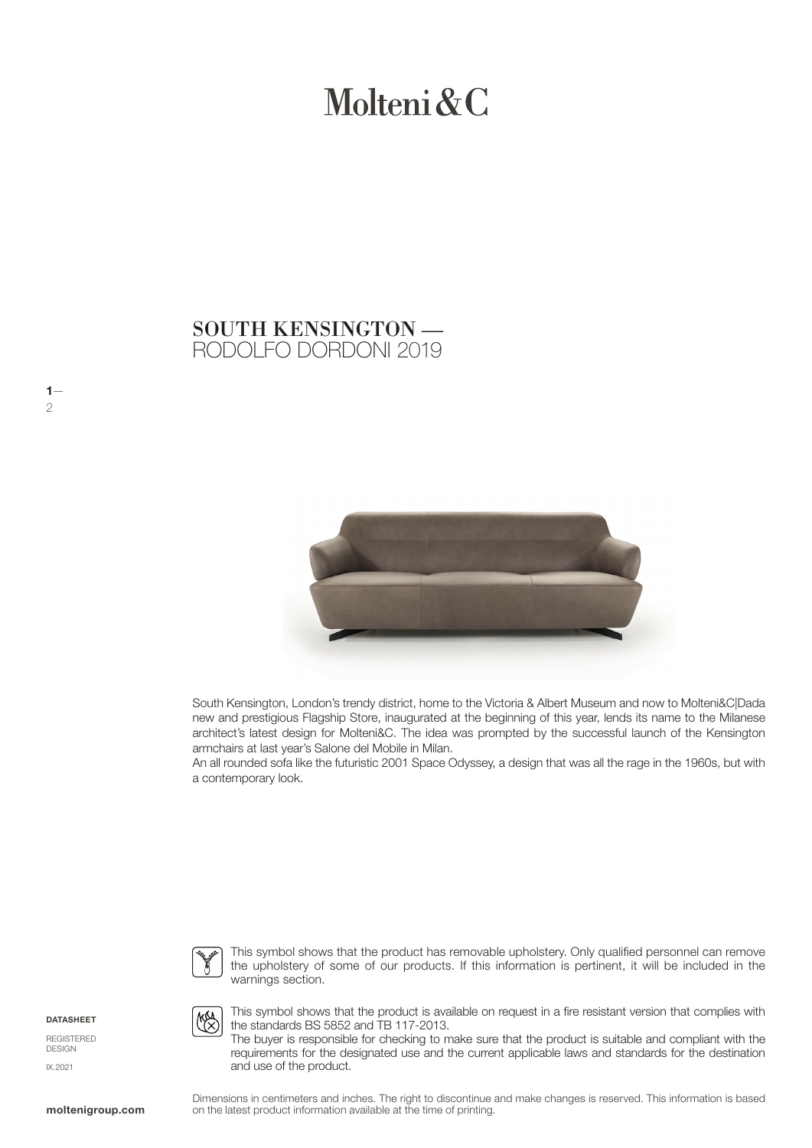# Molteni & C

### RODOLFO DORDONI 2019 SOUTH KENSINGTON —



South Kensington, London's trendy district, home to the Victoria & Albert Museum and now to Molteni&C|Dada new and prestigious Flagship Store, inaugurated at the beginning of this year, lends its name to the Milanese architect's latest design for Molteni&C. The idea was prompted by the successful launch of the Kensington armchairs at last year's Salone del Mobile in Milan.

An all rounded sofa like the futuristic 2001 Space Odyssey, a design that was all the rage in the 1960s, but with a contemporary look.



This symbol shows that the product has removable upholstery. Only qualified personnel can remove the upholstery of some of our products. If this information is pertinent, it will be included in the warnings section.

**DATASHEET** 

 $1-$ 2

REGISTERED DESIGN IX.2021



This symbol shows that the product is available on request in a fire resistant version that complies with the standards BS 5852 and TB 117-2013.

The buyer is responsible for checking to make sure that the product is suitable and compliant with the requirements for the designated use and the current applicable laws and standards for the destination and use of the product.

Dimensions in centimeters and inches. The right to discontinue and make changes is reserved. This information is based on the latest product information available at the time of printing.